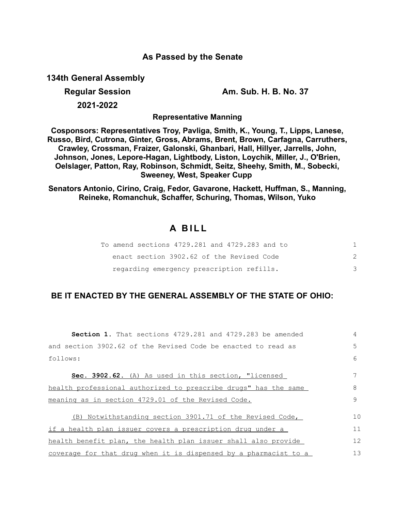## **As Passed by the Senate**

**134th General Assembly**

**Regular Session Am. Sub. H. B. No. 37**

**2021-2022**

**Representative Manning**

**Cosponsors: Representatives Troy, Pavliga, Smith, K., Young, T., Lipps, Lanese, Russo, Bird, Cutrona, Ginter, Gross, Abrams, Brent, Brown, Carfagna, Carruthers, Crawley, Crossman, Fraizer, Galonski, Ghanbari, Hall, Hillyer, Jarrells, John, Johnson, Jones, Lepore-Hagan, Lightbody, Liston, Loychik, Miller, J., O'Brien, Oelslager, Patton, Ray, Robinson, Schmidt, Seitz, Sheehy, Smith, M., Sobecki, Sweeney, West, Speaker Cupp** 

**Senators Antonio, Cirino, Craig, Fedor, Gavarone, Hackett, Huffman, S., Manning, Reineke, Romanchuk, Schaffer, Schuring, Thomas, Wilson, Yuko**

## **A B I L L**

|  | To amend sections 4729.281 and 4729.283 and to |  |
|--|------------------------------------------------|--|
|  | enact section 3902.62 of the Revised Code      |  |
|  | regarding emergency prescription refills.      |  |

## **BE IT ENACTED BY THE GENERAL ASSEMBLY OF THE STATE OF OHIO:**

| <b>Section 1.</b> That sections 4729.281 and 4729.283 be amended | 4            |
|------------------------------------------------------------------|--------------|
| and section 3902.62 of the Revised Code be enacted to read as    | 5            |
| follows:                                                         | 6            |
| Sec. 3902.62. (A) As used in this section, "licensed             |              |
| health professional authorized to prescribe drugs" has the same  | 8            |
| meaning as in section 4729.01 of the Revised Code.               | $\mathsf{Q}$ |
| (B) Notwithstanding section 3901.71 of the Revised Code,         | $10^{\circ}$ |
| if a health plan issuer covers a prescription drug under a       | 11           |
| health benefit plan, the health plan issuer shall also provide   | 12           |
| coverage for that drug when it is dispensed by a pharmacist to a | 13           |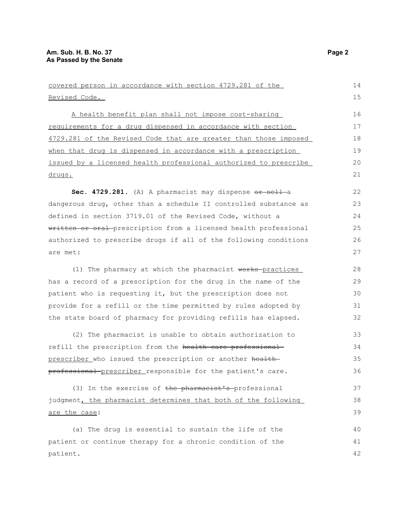| covered person in accordance with section 4729.281 of the        | 14 |
|------------------------------------------------------------------|----|
| Revised Code.                                                    |    |
| A health benefit plan shall not impose cost-sharing              | 16 |
| requirements for a drug dispensed in accordance with section     | 17 |
| 4729.281 of the Revised Code that are greater than those imposed | 18 |
| when that drug is dispensed in accordance with a prescription    | 19 |
| issued by a licensed health professional authorized to prescribe | 20 |
| <u>drugs.</u>                                                    | 21 |
| Sec. 4729.281. (A) A pharmacist may dispense or sell a           | 22 |
| dangerous drug, other than a schedule II controlled substance as | 23 |
| defined in section 3719.01 of the Revised Code, without a        | 24 |
| written or oral prescription from a licensed health professional | 25 |
| authorized to prescribe drugs if all of the following conditions | 26 |
| are met:                                                         | 27 |
| (1) The pharmacy at which the pharmacist works practices         | 28 |
| has a record of a prescription for the drug in the name of the   | 29 |
| patient who is requesting it, but the prescription does not      | 30 |
| provide for a refill or the time permitted by rules adopted by   | 31 |
| the state board of pharmacy for providing refills has elapsed.   | 32 |
| (2) The pharmacist is unable to obtain authorization to          | 33 |
| refill the prescription from the health care professional        | 34 |
| prescriber who issued the prescription or another health-        | 35 |
| professional prescriber responsible for the patient's care.      | 36 |
| (3) In the exercise of the pharmacist's professional             | 37 |
| judgment, the pharmacist determines that both of the following   | 38 |
| are the case:                                                    | 39 |
| (a) The drug is essential to sustain the life of the             | 40 |
| patient or continue therapy for a chronic condition of the       | 41 |
| patient.                                                         | 42 |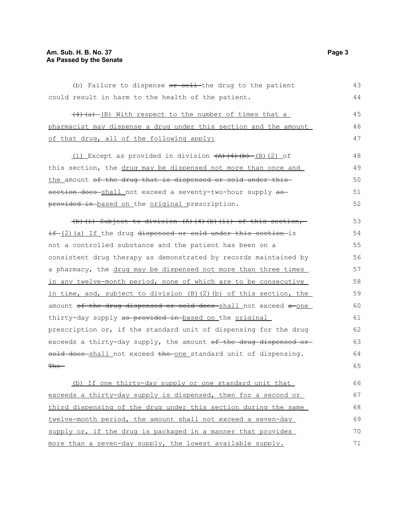## **Am. Sub. H. B. No. 37** Page 3 **As Passed by the Senate**

(b) Failure to dispense  $or$  sell-the drug to the patient could result in harm to the health of the patient.  $(4)$   $(a)$  (B) With respect to the number of times that a pharmacist may dispense a drug under this section and the amount of that drug, all of the following apply:  $(1)$  Except as provided in division  $(A)$   $(4)$   $(b)$   $(B)$   $(2)$  of this section, the drug may be dispensed not more than once and the amount of the drug that is dispensed or sold under thissection does shall not exceed a seventy-two-hour supply asprovided in-based on the original prescription. (b)(i) Subject to division (A)(4)(b)(ii) of this section,  $if_{2}(2)(a)$  If the drug dispensed or sold under this section-is not a controlled substance and the patient has been on a consistent drug therapy as demonstrated by records maintained by a pharmacy, the drug may be dispensed not more than three times in any twelve-month period, none of which are to be consecutive in time, and, subject to division (B)(2)(b) of this section, the amount of the drug dispensed or sold does shall not exceed a one thirty-day supply as provided in-based on the original prescription or, if the standard unit of dispensing for the drug exceeds a thirty-day supply, the amount  $of$  the drug dispensed or sold does shall not exceed the one standard unit of dispensing.  $<sub>The</sub>$ </sub> (b) If one thirty-day supply or one standard unit that exceeds a thirty-day supply is dispensed, then for a second or third dispensing of the drug under this section during the same twelve-month period, the amount shall not exceed a seven-day supply or, if the drug is packaged in a manner that provides 43 44 45 46 47 48 49 50 51 52 53 54 55 56 57 58 59 60 61 62 63 64 65 66 67 68 69 70

more than a seven-day supply, the lowest available supply.

71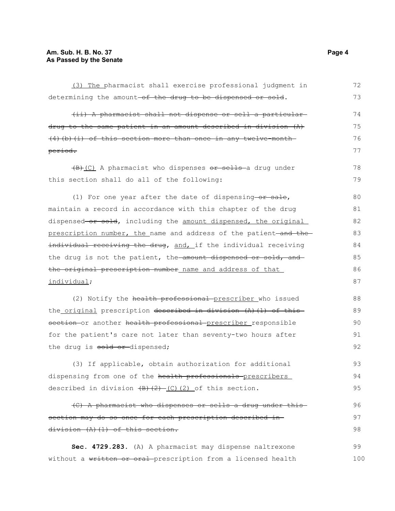| (3) The pharmacist shall exercise professional judgment in        | 72  |
|-------------------------------------------------------------------|-----|
| determining the amount-of the drug to be dispensed or sold.       | 73  |
| (ii) A pharmacist shall not dispense or sell a particular-        | 74  |
| drug to the same patient in an amount described in division (A)   | 75  |
| $(4)$ (b) (i) of this section more than once in any twelve-month- | 76  |
| period.                                                           | 77  |
| (B)(C) A pharmacist who dispenses or sells a drug under           | 78  |
| this section shall do all of the following:                       | 79  |
| (1) For one year after the date of dispensing-or sale,            | 80  |
| maintain a record in accordance with this chapter of the drug     | 81  |
| dispensed-or sold, including the amount dispensed, the original   | 82  |
| prescription number, the name and address of the patient-and the- | 83  |
| individual receiving the drug, and, if the individual receiving   | 84  |
| the drug is not the patient, the amount dispensed or sold, and    | 85  |
| the original prescription number name and address of that         | 86  |
| individual;                                                       | 87  |
| (2) Notify the health professional prescriber who issued          | 88  |
| the original prescription described in division (A) (1) of this   | 89  |
| section or another health professional prescriber responsible     | 90  |
| for the patient's care not later than seventy-two hours after     | 91  |
| the drug is sold or dispensed;                                    | 92  |
| (3) If applicable, obtain authorization for additional            | 93  |
| dispensing from one of the health professionals prescribers       | 94  |
| described in division $(B)$ $(2)$ $(C)$ $(2)$ of this section.    | 95  |
| (C) A pharmacist who dispenses or sells a drug under this         | 96  |
| section may do so once for each prescription described in-        | 97  |
| division (A) (1) of this section.                                 | 98  |
| Sec. 4729.283. (A) A pharmacist may dispense naltrexone           | 99  |
| without a written or oral prescription from a licensed health     | 100 |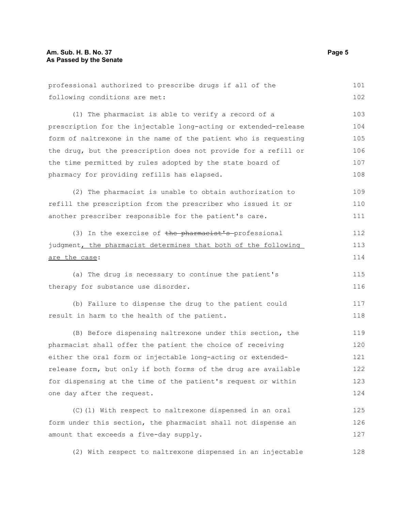| professional authorized to prescribe drugs if all of the        | 101 |
|-----------------------------------------------------------------|-----|
| following conditions are met:                                   | 102 |
| (1) The pharmacist is able to verify a record of a              | 103 |
| prescription for the injectable long-acting or extended-release | 104 |
| form of naltrexone in the name of the patient who is requesting | 105 |
| the drug, but the prescription does not provide for a refill or | 106 |
| the time permitted by rules adopted by the state board of       | 107 |
| pharmacy for providing refills has elapsed.                     | 108 |
| (2) The pharmacist is unable to obtain authorization to         | 109 |
| refill the prescription from the prescriber who issued it or    | 110 |
| another prescriber responsible for the patient's care.          | 111 |
| (3) In the exercise of the pharmacist's professional            | 112 |
| judgment, the pharmacist determines that both of the following  | 113 |
| are the case:                                                   | 114 |
| (a) The drug is necessary to continue the patient's             | 115 |
| therapy for substance use disorder.                             | 116 |
| (b) Failure to dispense the drug to the patient could           | 117 |
| result in harm to the health of the patient.                    | 118 |
| (B) Before dispensing naltrexone under this section, the        | 119 |
| pharmacist shall offer the patient the choice of receiving      | 120 |
| either the oral form or injectable long-acting or extended-     | 121 |
| release form, but only if both forms of the drug are available  | 122 |
| for dispensing at the time of the patient's request or within   | 123 |
| one day after the request.                                      | 124 |
| (C) (1) With respect to naltrexone dispensed in an oral         | 125 |
| form under this section, the pharmacist shall not dispense an   | 126 |
| amount that exceeds a five-day supply.                          | 127 |
| (2) With respect to naltrexone dispensed in an injectable       | 128 |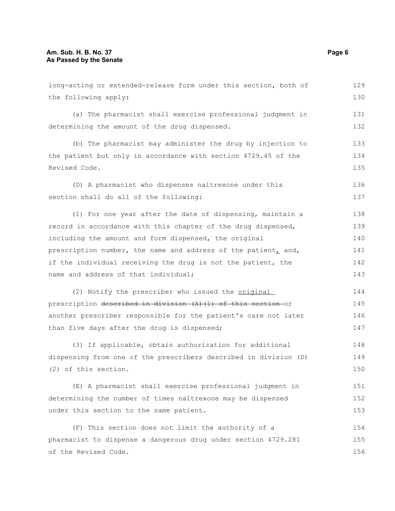| long-acting or extended-release form under this section, both of | 129 |
|------------------------------------------------------------------|-----|
| the following apply:                                             | 130 |
| (a) The pharmacist shall exercise professional judgment in       | 131 |
| determining the amount of the drug dispensed.                    | 132 |
| (b) The pharmacist may administer the drug by injection to       | 133 |
| the patient but only in accordance with section 4729.45 of the   | 134 |
| Revised Code.                                                    |     |
| (D) A pharmacist who dispenses naltrexone under this             | 136 |
| section shall do all of the following:                           | 137 |
| (1) For one year after the date of dispensing, maintain a        | 138 |
| record in accordance with this chapter of the drug dispensed,    | 139 |
| including the amount and form dispensed, the original            | 140 |
| prescription number, the name and address of the patient, and,   | 141 |
| if the individual receiving the drug is not the patient, the     | 142 |
| name and address of that individual;                             | 143 |
| (2) Notify the prescriber who issued the original                | 144 |
| prescription described in division (A) (1) of this section or    | 145 |
| another prescriber responsible for the patient's care not later  | 146 |
| than five days after the drug is dispensed;                      | 147 |
| (3) If applicable, obtain authorization for additional           | 148 |
| dispensing from one of the prescribers described in division (D) | 149 |
| (2) of this section.                                             | 150 |
| (E) A pharmacist shall exercise professional judgment in         | 151 |
| determining the number of times naltrexone may be dispensed      | 152 |
| under this section to the same patient.                          | 153 |
| (F) This section does not limit the authority of a               | 154 |
| pharmacist to dispense a dangerous drug under section 4729.281   | 155 |
| of the Revised Code.                                             | 156 |